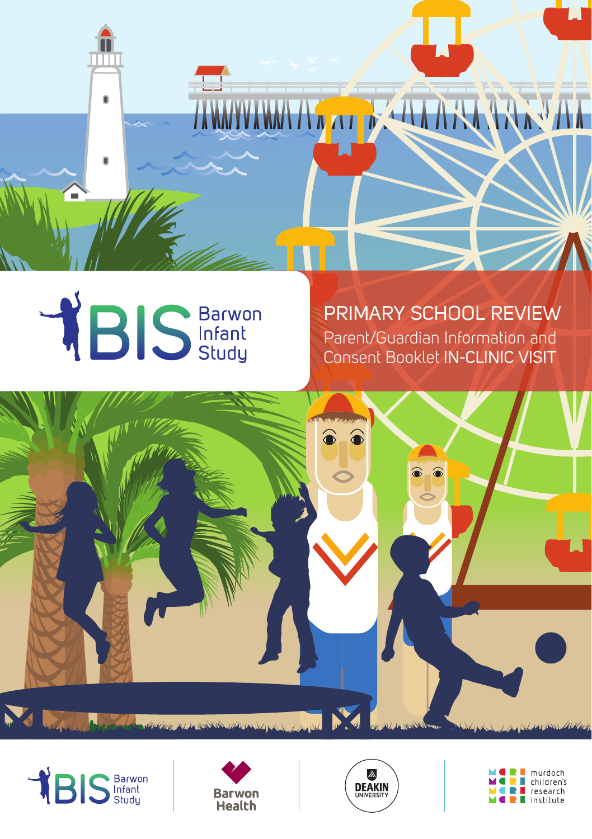



PRIMARY SCHOOL REVIEW Parent/Guardian Information and Consent Booklet IN-CLINIC VISIT









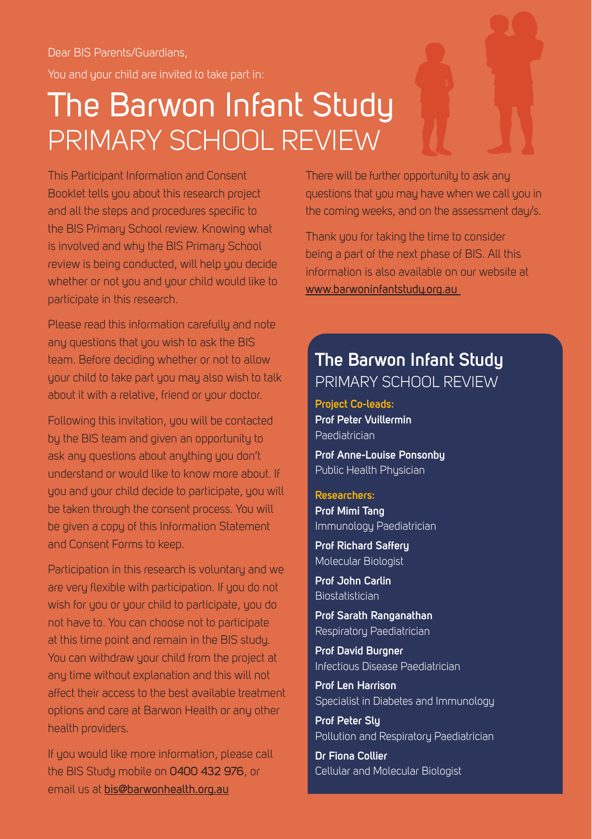Dear BIS Parents/Guardians, You and your child are invited to take part in:

#### The Barwon Infant Study PRIMARY SCHOOL REVIEW

This Participant Information and Consent Booklet tells you about this research project and all the steps and procedures specific to the BIS Primary School review. Knowing what is involved and why the BIS Primary School review is being conducted, will help you decide whether or not you and your child would like to participate in this research.

Please read this information carefully and note any questions that you wish to ask the BIS team. Before deciding whether or not to allow your child to take part you may also wish to talk about it with a relative, friend or your doctor.

Following this invitation, you will be contacted by the BIS team and given an opportunity to ask any questions about anything you don't understand or would like to know more about. If you and your child decide to participate, you will be taken through the consent process. You will be given a copy of this Information Statement and Consent Forms to keep.

Participation in this research is voluntary and we are very flexible with participation. If you do not wish for you or your child to participate, you do not have to. You can choose not to participate at this time point and remain in the BIS study. You can withdraw your child from the project at any time without explanation and this will not affect their access to the best available treatment options and care at Barwon Health or any other health providers.

If you would like more information, please call the BIS Study mobile on 0400 432 976, or email us at bis@barwonhealth.org.au

There will be further opportunity to ask any questions that you may have when we call you in the coming weeks, and on the assessment day/s.

Thank you for taking the time to consider being a part of the next phase of BIS. All this information is also available on our website at www.barwoninfantstudy.org.au

#### **The Barwon Infant Study** PRIMARY SCHOOL REVIEW

**Project Co-leads: Prof Peter Vuillermin** Paediatrician **Prof Anne-Louise Ponsonby**

Public Health Physician

#### **Researchers:**

**Prof Mimi Tang** Immunology Paediatrician

**Prof Richard Saffery** Molecular Biologist

**Prof John Carlin Biostatistician** 

**Prof Sarath Ranganathan** Respiratory Paediatrician

**Prof David Burgner** Infectious Disease Paediatrician

**Prof Len Harrison** Specialist in Diabetes and Immunology

**Prof Peter Sly**  Pollution and Respiratory Paediatrician

**Dr Fiona Collier** Cellular and Molecular Biologist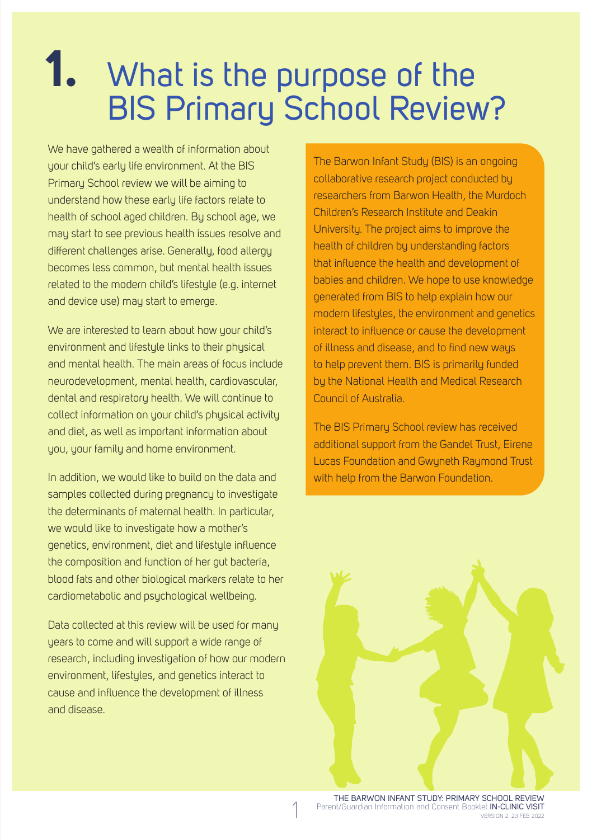## **1.** What is the purpose of the BIS Primary School Review?

We have gathered a wealth of information about your child's early life environment. At the BIS Primary School review we will be aiming to understand how these early life factors relate to health of school aged children. By school age, we may start to see previous health issues resolve and different challenges arise. Generally, food allergy becomes less common, but mental health issues related to the modern child's lifestule (e.g. internet and device use) may start to emerge.

We are interested to learn about how your child's environment and lifestule links to their physical and mental health. The main areas of focus include neurodevelopment, mental health, cardiovascular, dental and respiratory health. We will continue to collect information on your child's physical activity and diet, as well as important information about you, your family and home environment.

In addition, we would like to build on the data and samples collected during pregnancy to investigate the determinants of maternal health. In particular, we would like to investigate how a mother's genetics, environment, diet and lifestyle influence the composition and function of her gut bacteria, blood fats and other biological markers relate to her cardiometabolic and psychological wellbeing.

Data collected at this review will be used for many years to come and will support a wide range of research, including investigation of how our modern environment, lifestyles, and genetics interact to cause and influence the development of illness and disease.

The Barwon Infant Study (BIS) is an ongoing collaborative research project conducted by researchers from Barwon Health, the Murdoch Children's Research Institute and Deakin University. The project aims to improve the health of children by understanding factors that influence the health and development of babies and children. We hope to use knowledge generated from BIS to help explain how our modern lifestyles, the environment and genetics interact to influence or cause the development of illness and disease, and to find new ways to help prevent them. BIS is primarily funded by the National Health and Medical Research Council of Australia.

The BIS Primary School review has received additional support from the Gandel Trust, Eirene Lucas Foundation and Gwyneth Raymond Trust with help from the Barwon Foundation.

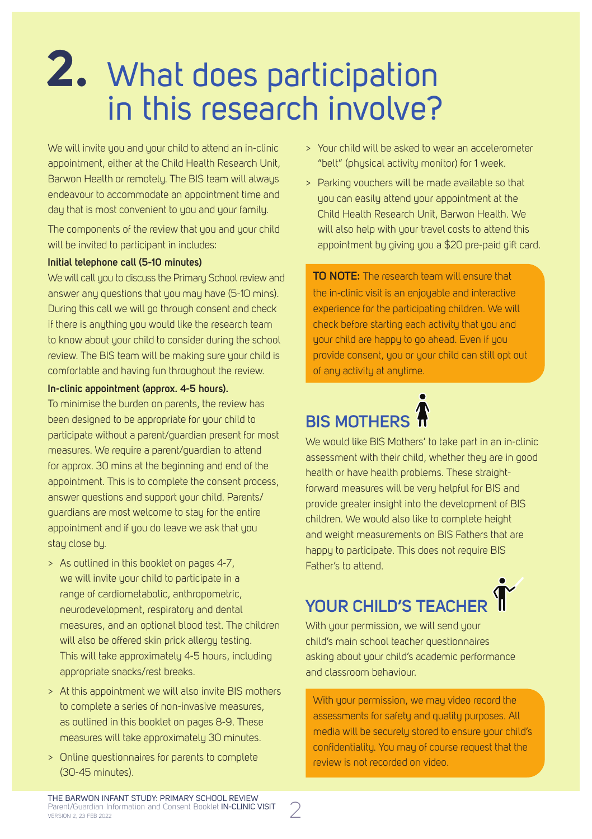## **2.** What does participation in this research involve?

We will invite you and your child to attend an in-clinic appointment, either at the Child Health Research Unit, Barwon Health or remotely. The BIS team will always endeavour to accommodate an appointment time and day that is most convenient to you and your family.

The components of the review that you and your child will be invited to participant in includes:

#### **Initial telephone call (5-10 minutes)**

We will call you to discuss the Primary School review and answer any questions that you may have (5-10 mins). During this call we will go through consent and check if there is anything you would like the research team to know about your child to consider during the school review. The BIS team will be making sure your child is comfortable and having fun throughout the review.

#### **In-clinic appointment (approx. 4-5 hours).**

To minimise the burden on parents, the review has been designed to be appropriate for your child to participate without a parent/guardian present for most measures. We require a parent/guardian to attend for approx. 30 mins at the beginning and end of the appointment. This is to complete the consent process, answer questions and support your child. Parents/ guardians are most welcome to stay for the entire appointment and if you do leave we ask that you stay close by.

- > As outlined in this booklet on pages 4-7, we will invite your child to participate in a range of cardiometabolic, anthropometric, neurodevelopment, respiratory and dental measures, and an optional blood test. The children will also be offered skin prick allergy testing. This will take approximately 4-5 hours, including appropriate snacks/rest breaks.
- > At this appointment we will also invite BIS mothers to complete a series of non-invasive measures, as outlined in this booklet on pages 8-9. These measures will take approximately 30 minutes.
- > Online questionnaires for parents to complete (30-45 minutes).
- > Your child will be asked to wear an accelerometer "belt" (physical activity monitor) for 1 week.
- > Parking vouchers will be made available so that you can easily attend your appointment at the Child Health Research Unit, Barwon Health. We will also help with your travel costs to attend this appointment by giving you a \$20 pre-paid gift card.

**TO NOTE:** The research team will ensure that the in-clinic visit is an enjoyable and interactive experience for the participating children. We will check before starting each activity that you and your child are happy to go ahead. Even if you provide consent, you or your child can still opt out of any activity at anytime.

#### **BIS MOTHERS**

We would like BIS Mothers' to take part in an in-clinic assessment with their child, whether they are in good health or have health problems. These straightforward measures will be very helpful for BIS and provide greater insight into the development of BIS children. We would also like to complete height and weight measurements on BIS Fathers that are happy to participate. This does not require BIS Father's to attend.

#### **YOUR CHILD'S TEACHER**

With your permission, we will send your child's main school teacher questionnaires asking about your child's academic performance and classroom behaviour.

With your permission, we may video record the assessments for safety and quality purposes. All media will be securely stored to ensure your child's confidentiality. You may of course request that the review is not recorded on video.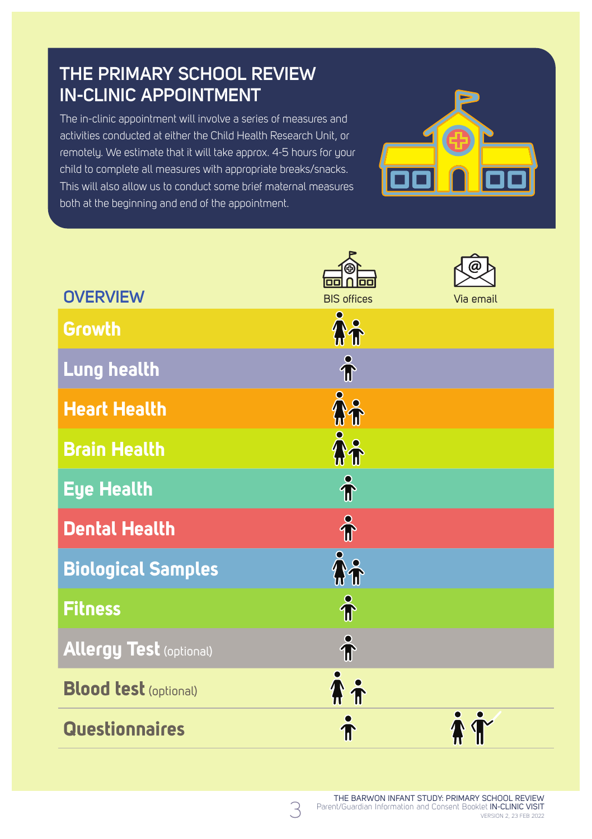#### **THE PRIMARY SCHOOL REVIEW IN-CLINIC APPOINTMENT**

The in-clinic appointment will involve a series of measures and activities conducted at either the Child Health Research Unit, or remotely. We estimate that it will take approx. 4-5 hours for your child to complete all measures with appropriate breaks/snacks. This will also allow us to conduct some brief maternal measures both at the beginning and end of the appointment.



|                                | Πī                   |           |
|--------------------------------|----------------------|-----------|
| <b>OVERVIEW</b>                | <b>BIS offices</b>   | Via email |
| <b>Growth</b>                  | $\tilde{A}$          |           |
| Lung health                    | $\hat{\mathbf{r}}$   |           |
| <b>Heart Health</b>            | $\tilde{\mathbf{h}}$ |           |
| <b>Brain Health</b>            | $\bm{\hat{\hat{r}}}$ |           |
| <b>Eye Health</b>              | $\hat{\mathbf{r}}$   |           |
| <b>Dental Health</b>           | $\hat{\mathbf{r}}$   |           |
| <b>Biological Samples</b>      | $\mathbf{\hat{h}}$   |           |
| <b>Fitness</b>                 | $\hat{\textbf{T}}$   |           |
| <b>Allergy Test (optional)</b> | $\hat{\mathbf{r}}$   |           |
| <b>Blood test (optional)</b>   | <b>Ai</b>            |           |
| <b>Questionnaires</b>          |                      |           |

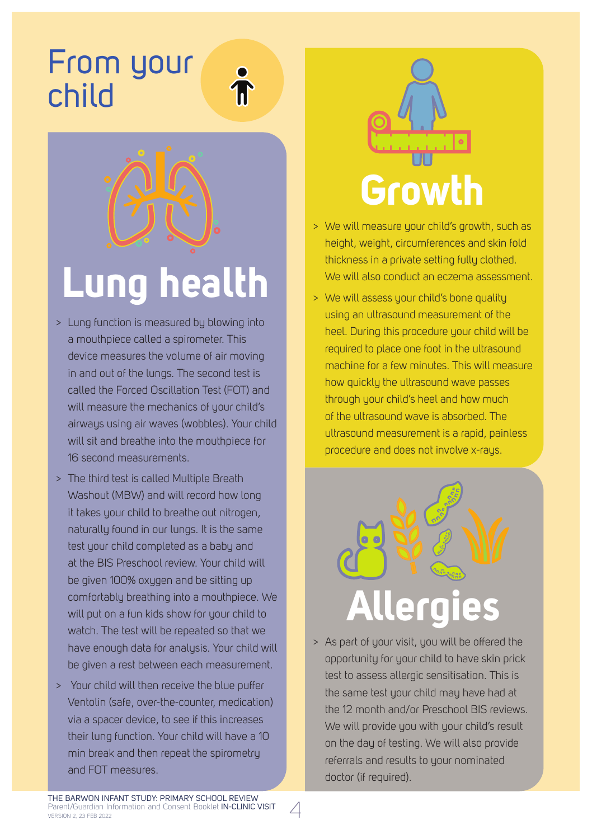#### From your child



# **Lung health**

- > Lung function is measured by blowing into a mouthpiece called a spirometer. This device measures the volume of air moving in and out of the lungs. The second test is called the Forced Oscillation Test (FOT) and will measure the mechanics of your child's airways using air waves (wobbles). Your child will sit and breathe into the mouthpiece for 16 second measurements.
- > The third test is called Multiple Breath Washout (MBW) and will record how long it takes your child to breathe out nitrogen, naturally found in our lungs. It is the same test your child completed as a baby and at the BIS Preschool review. Your child will be given 100% oxygen and be sitting up comfortably breathing into a mouthpiece. We will put on a fun kids show for your child to watch. The test will be repeated so that we have enough data for analysis. Your child will be given a rest between each measurement.
- > Your child will then receive the blue puffer Ventolin (safe, over-the-counter, medication) via a spacer device, to see if this increases their lung function. Your child will have a 10 min break and then repeat the spirometry and FOT measures.



- > We will measure your child's growth, such as height, weight, circumferences and skin fold thickness in a private setting fully clothed. We will also conduct an eczema assessment.
- > We will assess your child's bone quality using an ultrasound measurement of the heel. During this procedure your child will be required to place one foot in the ultrasound machine for a few minutes. This will measure how quickly the ultrasound wave passes through your child's heel and how much of the ultrasound wave is absorbed. The ultrasound measurement is a rapid, painless procedure and does not involve x-rays.



> As part of your visit, you will be offered the opportunity for your child to have skin prick test to assess allergic sensitisation. This is the same test your child may have had at the 12 month and/or Preschool BIS reviews. We will provide you with your child's result on the day of testing. We will also provide referrals and results to your nominated doctor (if required).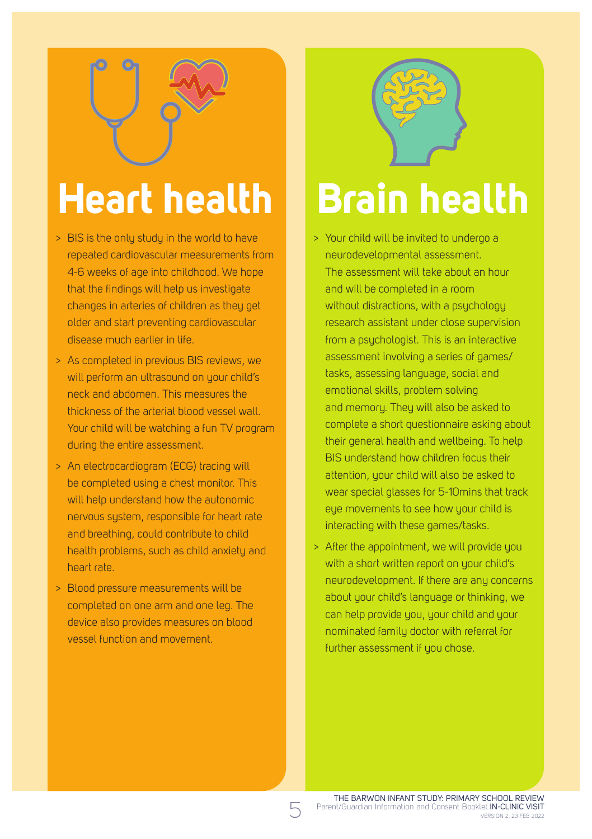# **Heart health**

- > BIS is the only study in the world to have repeated cardiovascular measurements from 4-6 weeks of age into childhood. We hope that the findings will help us investigate changes in arteries of children as they get older and start preventing cardiovascular disease much earlier in life.
- > As completed in previous BIS reviews, we will perform an ultrasound on your child's neck and abdomen. This measures the thickness of the arterial blood vessel wall. Your child will be watching a fun TV program during the entire assessment.
- > An electrocardiogram (ECG) tracing will be completed using a chest monitor. This will help understand how the autonomic nervous system, responsible for heart rate and breathing, could contribute to child health problems, such as child anxiety and heart rate.
- > Blood pressure measurements will be completed on one arm and one leg. The device also provides measures on blood vessel function and movement.



# **Brain health**

- > Your child will be invited to undergo a neurodevelopmental assessment. The assessment will take about an hour and will be completed in a room without distractions, with a psychology research assistant under close supervision from a psychologist. This is an interactive assessment involving a series of games/ tasks, assessing language, social and emotional skills, problem solving and memory. They will also be asked to complete a short questionnaire asking about their general health and wellbeing. To help BIS understand how children focus their attention, your child will also be asked to wear special glasses for 5-10mins that track eye movements to see how your child is interacting with these games/tasks.
- > After the appointment, we will provide you with a short written report on your child's neurodevelopment. If there are any concerns about your child's language or thinking, we can help provide you, your child and your nominated family doctor with referral for further assessment if you chose.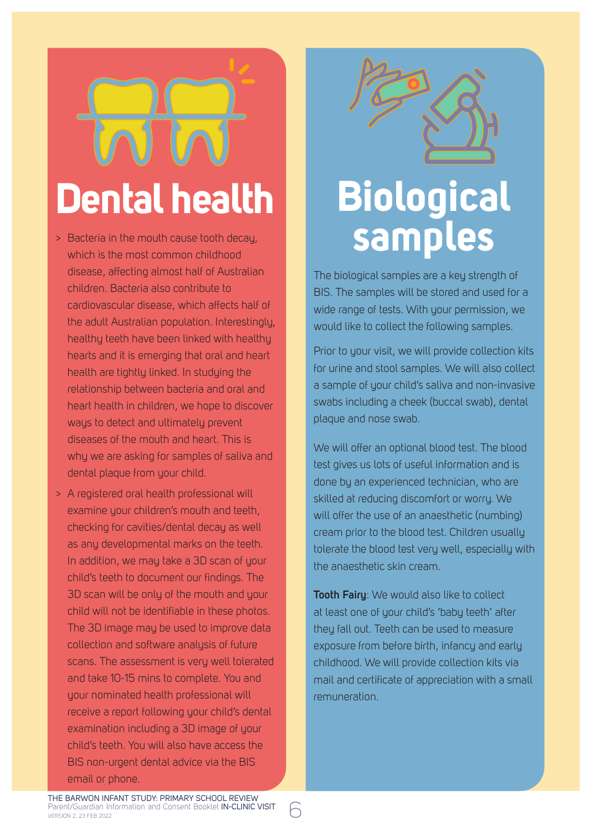# **Dental health**

- > Bacteria in the mouth cause tooth decay, which is the most common childhood disease, affecting almost half of Australian children. Bacteria also contribute to cardiovascular disease, which affects half of the adult Australian population. Interestingly, healthu teeth have been linked with healthu hearts and it is emerging that oral and heart health are tightly linked. In studying the relationship between bacteria and oral and heart health in children, we hope to discover ways to detect and ultimately prevent diseases of the mouth and heart. This is why we are asking for samples of saliva and dental plaque from your child.
- > A registered oral health professional will examine your children's mouth and teeth, checking for cavities/dental decay as well as any developmental marks on the teeth. In addition, we may take a 3D scan of your child's teeth to document our findings. The 3D scan will be only of the mouth and your child will not be identifiable in these photos. The 3D image may be used to improve data collection and software analysis of future scans. The assessment is very well tolerated and take 10-15 mins to complete. You and your nominated health professional will receive a report following your child's dental examination including a 3D image of your child's teeth. You will also have access the BIS non-urgent dental advice via the BIS email or phone.



# **Biological samples**

The biological samples are a key strength of BIS. The samples will be stored and used for a wide range of tests. With your permission, we would like to collect the following samples.

Prior to your visit, we will provide collection kits for urine and stool samples. We will also collect a sample of your child's saliva and non-invasive swabs including a cheek (buccal swab), dental plaque and nose swab.

We will offer an optional blood test. The blood test gives us lots of useful information and is done by an experienced technician, who are skilled at reducing discomfort or worry. We will offer the use of an anaesthetic (numbing) cream prior to the blood test. Children usually tolerate the blood test very well, especially with the anaesthetic skin cream.

**Tooth Fairy**: We would also like to collect at least one of your child's 'baby teeth' after they fall out. Teeth can be used to measure exposure from before birth, infancy and early childhood. We will provide collection kits via mail and certificate of appreciation with a small remuneration.

THE BARWON INFANT STUDY: PRIMARY SCHOOL REVIEW Parent/Guardian Information and Consent Booklet IN-CLINIC VISIT<br>VERSION 2, 23 FEB 2022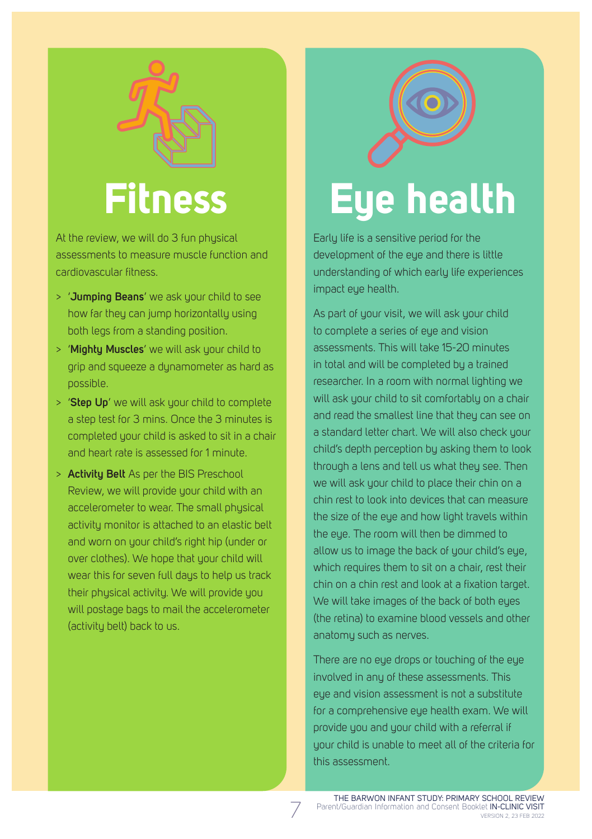

At the review, we will do 3 fun physical assessments to measure muscle function and cardiovascular fitness.

- > '**Jumping Beans**' we ask your child to see how far they can jump horizontally using both legs from a standing position.
- > '**Mighty Muscles**' we will ask your child to grip and squeeze a dynamometer as hard as possible.
- > '**Step Up**' we will ask your child to complete a step test for 3 mins. Once the 3 minutes is completed your child is asked to sit in a chair and heart rate is assessed for 1 minute.
- > **Activity Belt** As per the BIS Preschool Review, we will provide your child with an accelerometer to wear. The small physical activity monitor is attached to an elastic belt and worn on your child's right hip (under or over clothes). We hope that your child will wear this for seven full days to help us track their physical activity. We will provide you will postage bags to mail the accelerometer (activity belt) back to us.

# **Eye health**

Early life is a sensitive period for the development of the eye and there is little understanding of which early life experiences impact eye health.

As part of your visit, we will ask your child to complete a series of eye and vision assessments. This will take 15-20 minutes in total and will be completed by a trained researcher. In a room with normal lighting we will ask your child to sit comfortably on a chair and read the smallest line that they can see on a standard letter chart. We will also check your child's depth perception by asking them to look through a lens and tell us what they see. Then we will ask your child to place their chin on a chin rest to look into devices that can measure the size of the eye and how light travels within the eye. The room will then be dimmed to allow us to image the back of your child's eye, which requires them to sit on a chair, rest their chin on a chin rest and look at a fixation target. We will take images of the back of both eyes (the retina) to examine blood vessels and other anatomy such as nerves.

There are no eye drops or touching of the eye involved in any of these assessments. This eye and vision assessment is not a substitute for a comprehensive eue health exam. We will provide you and your child with a referral if your child is unable to meet all of the criteria for this assessment.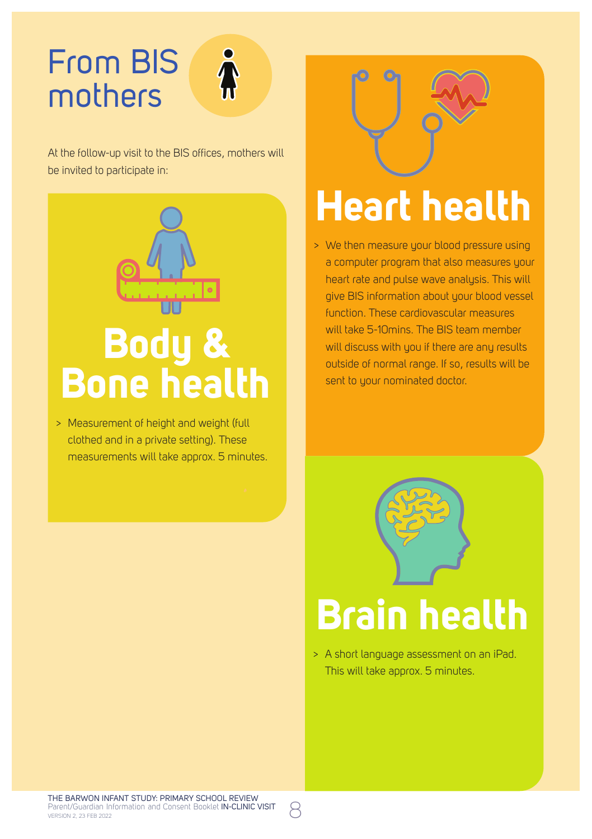#### From BIS mothers



At the follow-up visit to the BIS offices, mothers will be invited to participate in:



> Measurement of height and weight (full clothed and in a private setting). These measurements will take approx. 5 minutes.



# **Heart health**

> We then measure your blood pressure using a computer program that also measures your heart rate and pulse wave analysis. This will give BIS information about your blood vessel function. These cardiovascular measures will take 5-10mins. The BIS team member will discuss with you if there are any results outside of normal range. If so, results will be sent to your nominated doctor.



# **Brain health**

> A short language assessment on an iPad. This will take approx. 5 minutes.

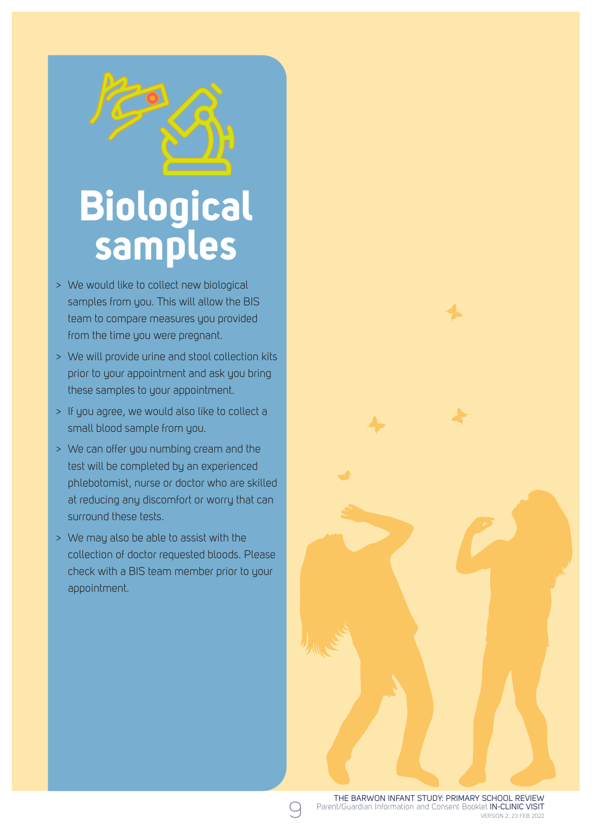# **Biological samples**

- > We would like to collect new biological samples from you. This will allow the BIS team to compare measures you provided from the time you were pregnant.
- > We will provide urine and stool collection kits prior to your appointment and ask you bring these samples to your appointment.
- > If you agree, we would also like to collect a small blood sample from you.
- > We can offer you numbing cream and the test will be completed by an experienced phlebotomist, nurse or doctor who are skilled at reducing any discomfort or worry that can surround these tests.
- > We may also be able to assist with the collection of doctor requested bloods. Please check with a BIS team member prior to your appointment.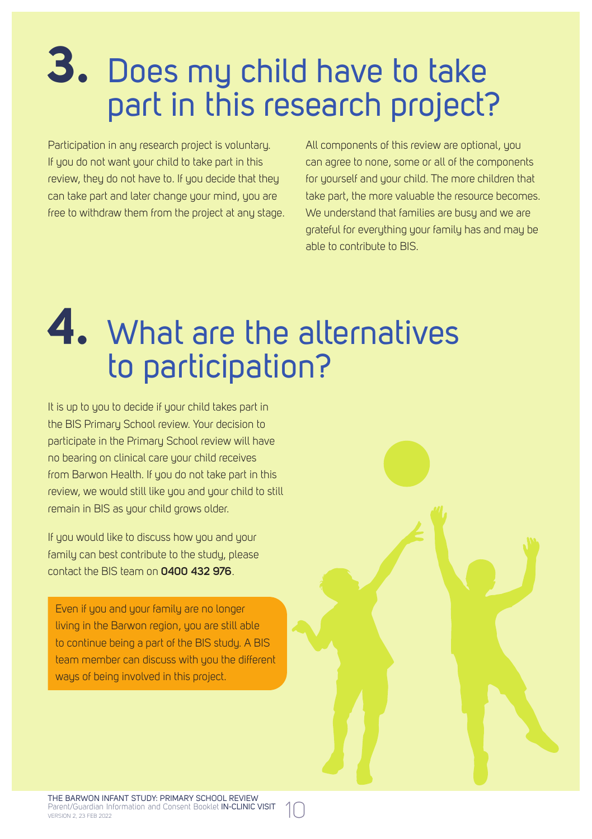## **3.** Does my child have to take part in this research project?

Participation in any research project is voluntary. If you do not want your child to take part in this review, they do not have to. If you decide that they can take part and later change your mind, you are free to withdraw them from the project at any stage. All components of this review are optional, you can agree to none, some or all of the components for yourself and your child. The more children that take part, the more valuable the resource becomes. We understand that families are busy and we are grateful for everything your family has and may be able to contribute to BIS.

## **4.** What are the alternatives to participation?

It is up to you to decide if your child takes part in the BIS Primary School review. Your decision to participate in the Primary School review will have no bearing on clinical care your child receives from Barwon Health. If you do not take part in this review, we would still like you and your child to still remain in BIS as your child grows older.

If you would like to discuss how you and your family can best contribute to the study, please contact the BIS team on **0400 432 976**.

Even if you and your family are no longer living in the Barwon region, you are still able to continue being a part of the BIS study. A BIS team member can discuss with you the different ways of being involved in this project.

THE BARWON INFANT STUDY: PRIMARY SCHOOL REVIEW Parent/Guardian Information and Consent Booklet IN-CLINIC VISIT (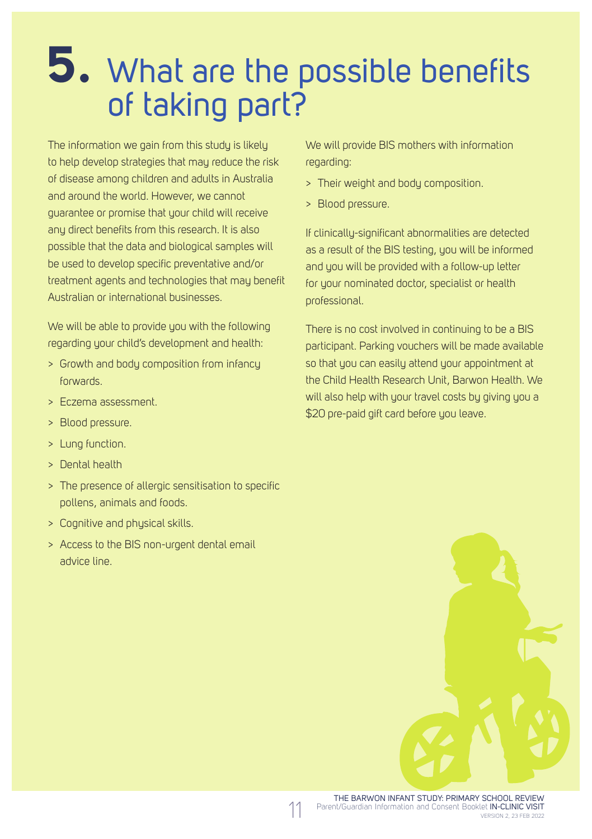## **5.** What are the possible benefits of taking part?

The information we gain from this study is likely to help develop strategies that may reduce the risk of disease among children and adults in Australia and around the world. However, we cannot guarantee or promise that your child will receive any direct benefits from this research. It is also possible that the data and biological samples will be used to develop specific preventative and/or treatment agents and technologies that may benefit Australian or international businesses.

We will be able to provide you with the following regarding your child's development and health:

- > Growth and body composition from infancy forwards.
- > Eczema assessment.
- > Blood pressure.
- > Lung function.
- > Dental health
- > The presence of allergic sensitisation to specific pollens, animals and foods.
- > Cognitive and physical skills.
- > Access to the BIS non-urgent dental email advice line.

We will provide BIS mothers with information regarding:

- > Their weight and body composition.
- > Blood pressure.

If clinically-significant abnormalities are detected as a result of the BIS testing, you will be informed and you will be provided with a follow-up letter for your nominated doctor, specialist or health professional.

There is no cost involved in continuing to be a BIS participant. Parking vouchers will be made available so that you can easily attend your appointment at the Child Health Research Unit, Barwon Health. We will also help with your travel costs by giving you a \$20 pre-paid gift card before you leave.

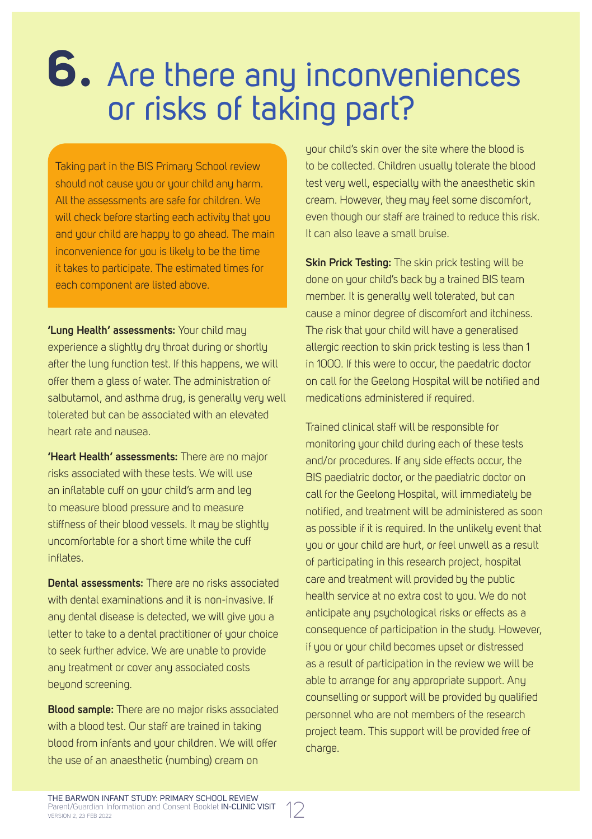## **6.** Are there any inconveniences or risks of taking part?

Taking part in the BIS Primary School review should not cause you or your child any harm. All the assessments are safe for children. We will check before starting each activity that you and your child are happy to go ahead. The main inconvenience for you is likely to be the time it takes to participate. The estimated times for each component are listed above.

**'Lung Health' assessments:** Your child may experience a slightly dry throat during or shortly after the lung function test. If this happens, we will offer them a glass of water. The administration of salbutamol, and asthma drug, is generally very well tolerated but can be associated with an elevated heart rate and nausea.

**'Heart Health' assessments:** There are no major risks associated with these tests. We will use an inflatable cuff on your child's arm and leg to measure blood pressure and to measure stiffness of their blood vessels. It may be slightly uncomfortable for a short time while the cuff inflates.

**Dental assessments:** There are no risks associated with dental examinations and it is non-invasive. If any dental disease is detected, we will give you a letter to take to a dental practitioner of your choice to seek further advice. We are unable to provide any treatment or cover any associated costs beyond screening.

**Blood sample:** There are no major risks associated with a blood test. Our staff are trained in taking blood from infants and your children. We will offer the use of an anaesthetic (numbing) cream on

your child's skin over the site where the blood is to be collected. Children usually tolerate the blood test very well, especially with the anaesthetic skin cream. However, they may feel some discomfort, even though our staff are trained to reduce this risk. It can also leave a small bruise.

**Skin Prick Testing:** The skin prick testing will be done on your child's back by a trained BIS team member. It is generally well tolerated, but can cause a minor degree of discomfort and itchiness. The risk that your child will have a generalised allergic reaction to skin prick testing is less than 1 in 1000. If this were to occur, the paedatric doctor on call for the Geelong Hospital will be notified and medications administered if required.

Trained clinical staff will be responsible for monitoring your child during each of these tests and/or procedures. If any side effects occur, the BIS paediatric doctor, or the paediatric doctor on call for the Geelong Hospital, will immediately be notified, and treatment will be administered as soon as possible if it is required. In the unlikely event that you or your child are hurt, or feel unwell as a result of participating in this research project, hospital care and treatment will provided by the public health service at no extra cost to you. We do not anticipate any psychological risks or effects as a consequence of participation in the study. However, if you or your child becomes upset or distressed as a result of participation in the review we will be able to arrange for any appropriate support. Any counselling or support will be provided by qualified personnel who are not members of the research project team. This support will be provided free of charge.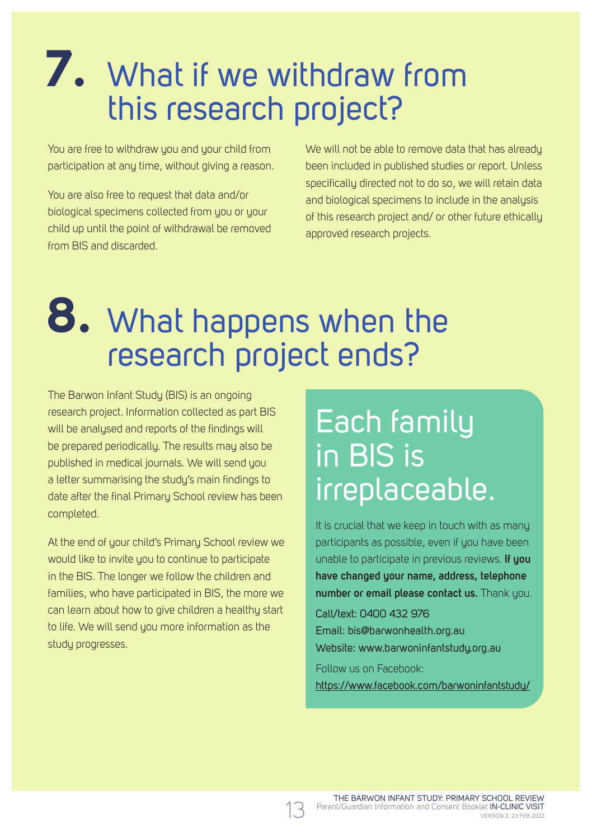## **7.** What if we withdraw from this research project?

You are free to withdraw you and your child from participation at any time, without giving a reason.

You are also free to request that data and/or biological specimens collected from you or your child up until the point of withdrawal be removed from BIS and discarded.

We will not be able to remove data that has already been included in published studies or report. Unless specifically directed not to do so, we will retain data and biological specimens to include in the analysis of this research project and/ or other future ethically approved research projects.

### **8.** What happens when the research project ends?

The Barwon Infant Study (BIS) is an ongoing research project. Information collected as part BIS will be analysed and reports of the findings will be prepared periodically. The results may also be published in medical journals. We will send you a letter summarising the study's main findings to date after the final Primary School review has been completed.

At the end of your child's Primary School review we would like to invite you to continue to participate in the BIS. The longer we follow the children and families, who have participated in BIS, the more we can learn about how to give children a healthy start to life. We will send you more information as the study progresses.

#### Each family in BIS is irreplaceable.

It is crucial that we keep in touch with as many participants as possible, even if you have been unable to participate in previous reviews. **If you have changed your name, address, telephone number or email please contact us.** Thank you.

Call/text: 0400 432 976 Email: bis@barwonhealth.org.au Website: www.barwoninfantstudy.org.au

Follow us on Facebook: https://www.facebook.com/barwoninfantstudy/

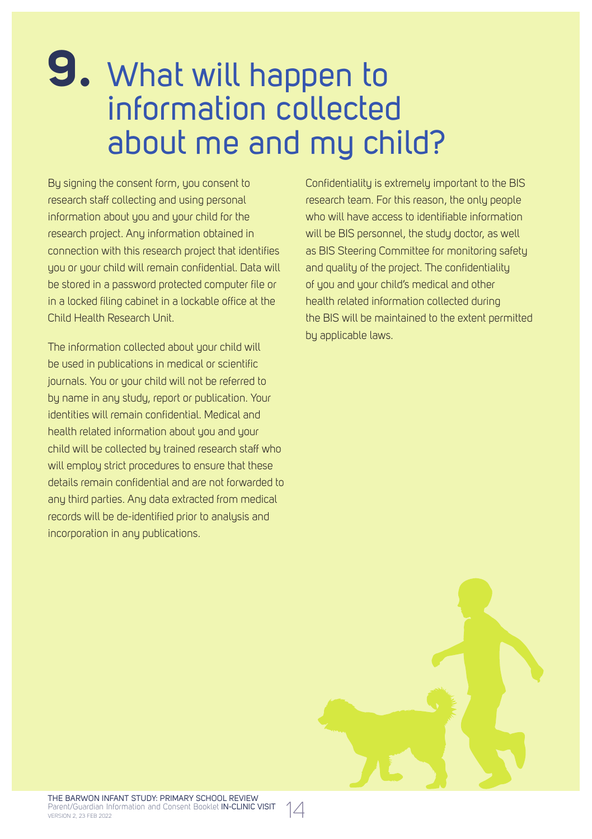#### **9.** What will happen to information collected about me and my child?

By signing the consent form, you consent to research staff collecting and using personal information about you and your child for the research project. Any information obtained in connection with this research project that identifies you or your child will remain confidential. Data will be stored in a password protected computer file or in a locked filing cabinet in a lockable office at the Child Health Research Unit.

The information collected about your child will be used in publications in medical or scientific journals. You or your child will not be referred to by name in any study, report or publication. Your identities will remain confidential. Medical and health related information about you and your child will be collected by trained research staff who will employ strict procedures to ensure that these details remain confidential and are not forwarded to any third parties. Any data extracted from medical records will be de-identified prior to analysis and incorporation in any publications.

Confidentiality is extremely important to the BIS research team. For this reason, the only people who will have access to identifiable information will be BIS personnel, the studu doctor, as well as BIS Steering Committee for monitoring safety and quality of the project. The confidentiality of you and your child's medical and other health related information collected during the BIS will be maintained to the extent permitted by applicable laws.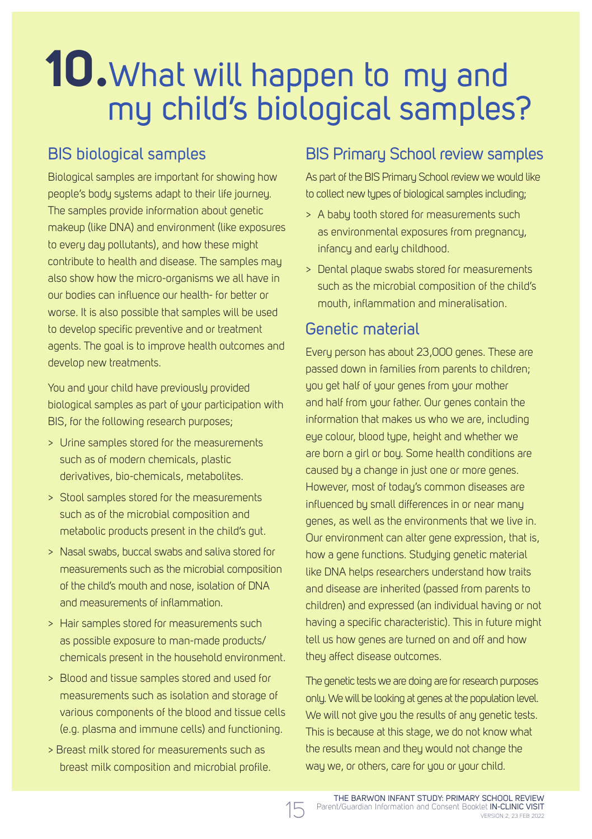## **10.**What will happen to my and my child's biological samples?

#### BIS biological samples

Biological samples are important for showing how people's body systems adapt to their life journey. The samples provide information about genetic makeup (like DNA) and environment (like exposures to every day pollutants), and how these might contribute to health and disease. The samples may also show how the micro-organisms we all have in our bodies can influence our health- for better or worse. It is also possible that samples will be used to develop specific preventive and or treatment agents. The goal is to improve health outcomes and develop new treatments.

You and your child have previously provided biological samples as part of your participation with BIS, for the following research purposes;

- > Urine samples stored for the measurements such as of modern chemicals, plastic derivatives, bio-chemicals, metabolites.
- > Stool samples stored for the measurements such as of the microbial composition and metabolic products present in the child's gut.
- > Nasal swabs, buccal swabs and saliva stored for measurements such as the microbial composition of the child's mouth and nose, isolation of DNA and measurements of inflammation.
- > Hair samples stored for measurements such as possible exposure to man-made products/ chemicals present in the household environment.
- > Blood and tissue samples stored and used for measurements such as isolation and storage of various components of the blood and tissue cells (e.g. plasma and immune cells) and functioning.
- > Breast milk stored for measurements such as breast milk composition and microbial profile.

#### BIS Primary School review samples

As part of the BIS Primary School review we would like to collect new types of biological samples including;

- > A baby tooth stored for measurements such as environmental exposures from pregnancy, infancy and early childhood.
- > Dental plaque swabs stored for measurements such as the microbial composition of the child's mouth, inflammation and mineralisation.

#### Genetic material

Every person has about 23,000 genes. These are passed down in families from parents to children; you get half of your genes from your mother and half from your father. Our genes contain the information that makes us who we are, including eye colour, blood type, height and whether we are born a girl or boy. Some health conditions are caused by a change in just one or more genes. However, most of today's common diseases are influenced by small differences in or near many genes, as well as the environments that we live in. Our environment can alter gene expression, that is, how a gene functions. Studying genetic material like DNA helps researchers understand how traits and disease are inherited (passed from parents to children) and expressed (an individual having or not having a specific characteristic). This in future might tell us how genes are turned on and off and how they affect disease outcomes.

The genetic tests we are doing are for research purposes only. We will be looking at genes at the population level. We will not give you the results of any genetic tests. This is because at this stage, we do not know what the results mean and they would not change the way we, or others, care for you or your child.

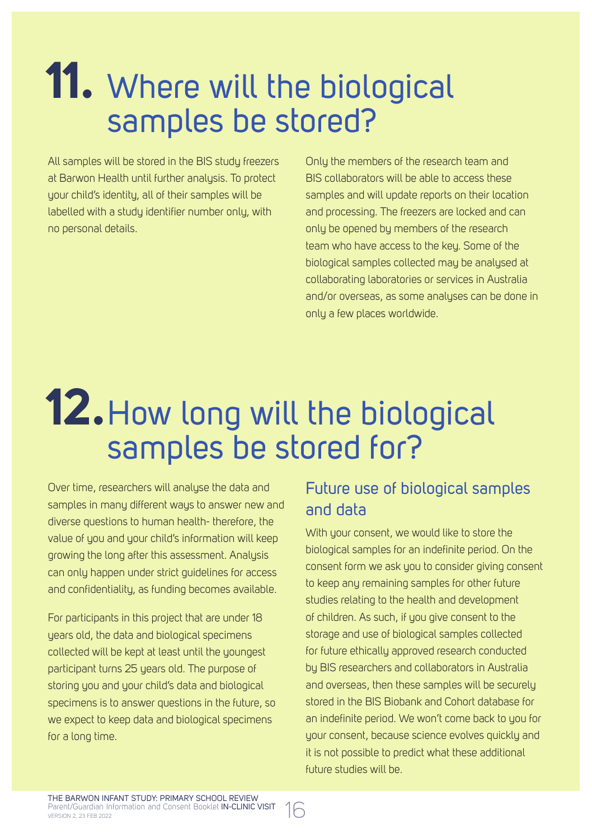## **11.** Where will the biological samples be stored?

All samples will be stored in the BIS study freezers at Barwon Health until further analysis. To protect your child's identity, all of their samples will be labelled with a study identifier number only, with no personal details.

Only the members of the research team and BIS collaborators will be able to access these samples and will update reports on their location and processing. The freezers are locked and can only be opened by members of the research team who have access to the key. Some of the biological samples collected may be analysed at collaborating laboratories or services in Australia and/or overseas, as some analyses can be done in only a few places worldwide.

## **12.**How long will the biological samples be stored for?

Over time, researchers will analyse the data and samples in many different ways to answer new and diverse questions to human health- therefore, the value of you and your child's information will keep growing the long after this assessment. Analysis can only happen under strict guidelines for access and confidentiality, as funding becomes available.

For participants in this project that are under 18 years old, the data and biological specimens collected will be kept at least until the youngest participant turns 25 years old. The purpose of storing you and your child's data and biological specimens is to answer questions in the future, so we expect to keep data and biological specimens for a long time.

#### Future use of biological samples and data

With your consent, we would like to store the biological samples for an indefinite period. On the consent form we ask you to consider giving consent to keep any remaining samples for other future studies relating to the health and development of children. As such, if you give consent to the storage and use of biological samples collected for future ethically approved research conducted by BIS researchers and collaborators in Australia and overseas, then these samples will be securely stored in the BIS Biobank and Cohort database for an indefinite period. We won't come back to you for your consent, because science evolves quickly and it is not possible to predict what these additional future studies will be.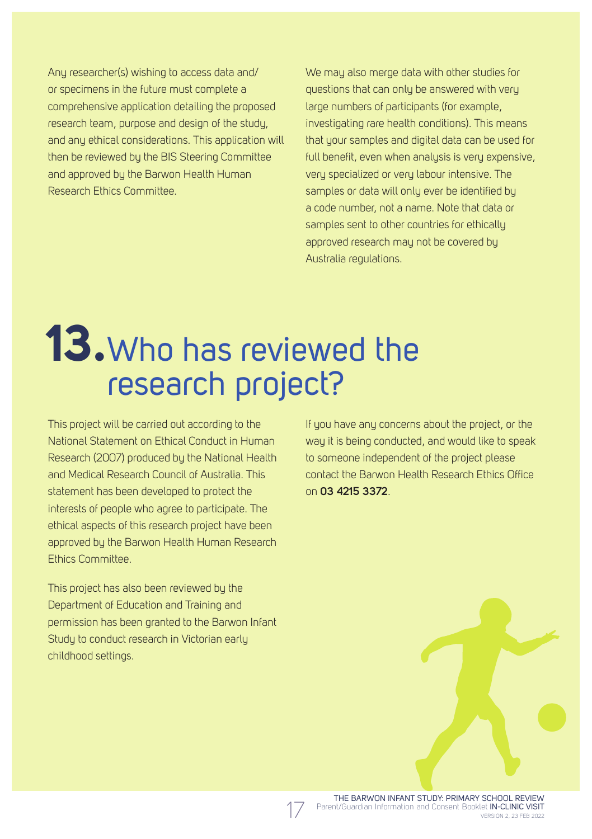Any researcher(s) wishing to access data and/ or specimens in the future must complete a comprehensive application detailing the proposed research team, purpose and design of the study, and any ethical considerations. This application will then be reviewed bu the BIS Steering Committee and approved by the Barwon Health Human Research Ethics Committee.

We may also merge data with other studies for questions that can only be answered with very large numbers of participants (for example, investigating rare health conditions). This means that your samples and digital data can be used for full benefit, even when analysis is very expensive very specialized or very labour intensive. The samples or data will only ever be identified by a code number, not a name. Note that data or samples sent to other countries for ethically approved research may not be covered by Australia regulations.

## **13.**Who has reviewed the research project?

This project will be carried out according to the National Statement on Ethical Conduct in Human Research (2007) produced by the National Health and Medical Research Council of Australia. This statement has been developed to protect the interests of people who agree to participate. The ethical aspects of this research project have been approved by the Barwon Health Human Research Ethics Committee.

This project has also been reviewed by the Department of Education and Training and permission has been granted to the Barwon Infant Study to conduct research in Victorian early childhood settings.

If you have any concerns about the project, or the way it is being conducted, and would like to speak to someone independent of the project please contact the Barwon Health Research Ethics Office on **03 4215 3372**.